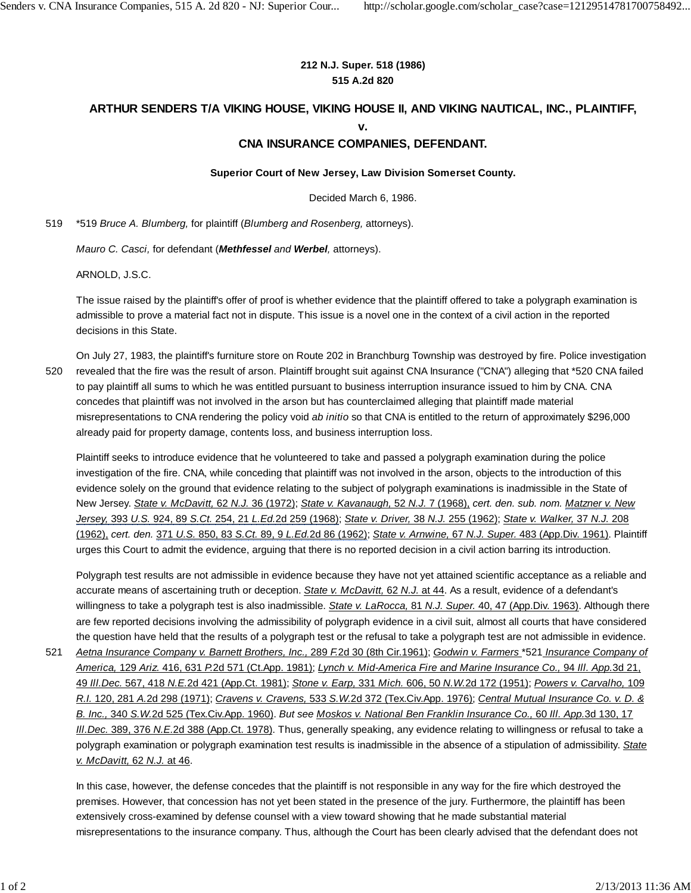## **212 N.J. Super. 518 (1986) 515 A.2d 820**

## **ARTHUR SENDERS T/A VIKING HOUSE, VIKING HOUSE II, AND VIKING NAUTICAL, INC., PLAINTIFF, v.**

## **CNA INSURANCE COMPANIES, DEFENDANT.**

## **Superior Court of New Jersey, Law Division Somerset County.**

Decided March 6, 1986.

519 \*519 *Bruce A. Blumberg,* for plaintiff (*Blumberg and Rosenberg,* attorneys).

*Mauro C. Casci,* for defendant (*Methfessel and Werbel,* attorneys).

ARNOLD, J.S.C.

The issue raised by the plaintiff's offer of proof is whether evidence that the plaintiff offered to take a polygraph examination is admissible to prove a material fact not in dispute. This issue is a novel one in the context of a civil action in the reported decisions in this State.

On July 27, 1983, the plaintiff's furniture store on Route 202 in Branchburg Township was destroyed by fire. Police investigation revealed that the fire was the result of arson. Plaintiff brought suit against CNA Insurance ("CNA") alleging that \*520 CNA failed to pay plaintiff all sums to which he was entitled pursuant to business interruption insurance issued to him by CNA. CNA concedes that plaintiff was not involved in the arson but has counterclaimed alleging that plaintiff made material misrepresentations to CNA rendering the policy void *ab initio* so that CNA is entitled to the return of approximately \$296,000 already paid for property damage, contents loss, and business interruption loss. 520

Plaintiff seeks to introduce evidence that he volunteered to take and passed a polygraph examination during the police investigation of the fire. CNA, while conceding that plaintiff was not involved in the arson, objects to the introduction of this evidence solely on the ground that evidence relating to the subject of polygraph examinations is inadmissible in the State of New Jersey. *State v. McDavitt,* 62 *N.J.* 36 (1972); *State v. Kavanaugh,* 52 *N.J.* 7 (1968), *cert. den. sub. nom. Matzner v. New Jersey,* 393 *U.S.* 924, 89 *S.Ct.* 254, 21 *L.Ed.*2d 259 (1968); *State v. Driver,* 38 *N.J.* 255 (1962); *State v. Walker,* 37 *N.J.* 208 (1962), *cert. den.* 371 *U.S.* 850, 83 *S.Ct.* 89, 9 *L.Ed.*2d 86 (1962); *State v. Arnwine,* 67 *N.J. Super.* 483 (App.Div. 1961). Plaintiff urges this Court to admit the evidence, arguing that there is no reported decision in a civil action barring its introduction.

Polygraph test results are not admissible in evidence because they have not yet attained scientific acceptance as a reliable and accurate means of ascertaining truth or deception. *State v. McDavitt,* 62 *N.J.* at 44. As a result, evidence of a defendant's willingness to take a polygraph test is also inadmissible. *State v. LaRocca,* 81 *N.J. Super.* 40, 47 (App.Div. 1963). Although there are few reported decisions involving the admissibility of polygraph evidence in a civil suit, almost all courts that have considered the question have held that the results of a polygraph test or the refusal to take a polygraph test are not admissible in evidence.

*Aetna Insurance Company v. Barnett Brothers, Inc.,* 289 *F.*2d 30 (8th Cir.1961); *Godwin v. Farmers* \*521 *Insurance Company of America,* 129 *Ariz.* 416, 631 *P.*2d 571 (Ct.App. 1981); *Lynch v. Mid-America Fire and Marine Insurance Co.,* 94 *Ill. App.*3d 21, 49 *Ill.Dec.* 567, 418 *N.E.*2d 421 (App.Ct. 1981); *Stone v. Earp,* 331 *Mich.* 606, 50 *N.W.*2d 172 (1951); *Powers v. Carvalho,* 109 *R.I.* 120, 281 *A.*2d 298 (1971); *Cravens v. Cravens,* 533 *S.W.*2d 372 (Tex.Civ.App. 1976); *Central Mutual Insurance Co. v. D. & B. Inc.,* 340 *S.W.*2d 525 (Tex.Civ.App. 1960). *But see Moskos v. National Ben Franklin Insurance Co.,* 60 *Ill. App.*3d 130, 17 *Ill.Dec.* 389, 376 *N.E.*2d 388 (App.Ct. 1978). Thus, generally speaking, any evidence relating to willingness or refusal to take a polygraph examination or polygraph examination test results is inadmissible in the absence of a stipulation of admissibility. *State v. McDavitt,* 62 *N.J.* at 46. 521

In this case, however, the defense concedes that the plaintiff is not responsible in any way for the fire which destroyed the premises. However, that concession has not yet been stated in the presence of the jury. Furthermore, the plaintiff has been extensively cross-examined by defense counsel with a view toward showing that he made substantial material misrepresentations to the insurance company. Thus, although the Court has been clearly advised that the defendant does not